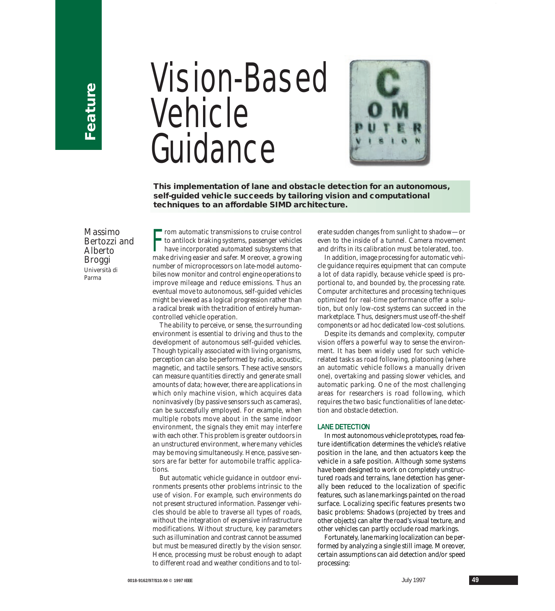# Vision-Based Vehicle Guidance



**This implementation of lane and obstacle detection for an autonomous, self-guided vehicle succeeds by tailoring vision and computational techniques to an affordable SIMD architecture.**

**Parma Mass Bertte Albe**<br>*Mass Bertte*<br>*Parma* Parma *Massimo Bertozzi and Alberto Broggi* Università di Parma

F rom automatic transmissions to cruise control to antilock braking systems, passenger vehicles have incorporated automated subsystems that make driving easier and safer. Moreover, a growing number of microprocessors on late-model automobiles now monitor and control engine operations to improve mileage and reduce emissions. Thus an eventual move to autonomous, self-guided vehicles might be viewed as a logical progression rather than a radical break with the tradition of entirely humancontrolled vehicle operation.

The ability to perceive, or sense, the surrounding environment is essential to driving and thus to the development of autonomous self-guided vehicles. Though typically associated with living organisms, perception can also be performed by radio, acoustic, magnetic, and tactile sensors. These active sensors can measure quantities directly and generate small amounts of data; however, there are applications in which only machine vision, which acquires data noninvasively (by passive sensors such as cameras), can be successfully employed. For example, when multiple robots move about in the same indoor environment, the signals they emit may interfere with each other. This problem is greater outdoors in an unstructured environment, where many vehicles may be moving simultaneously. Hence, passive sensors are far better for automobile traffic applications.

But automatic vehicle guidance in outdoor environments presents other problems intrinsic to the use of vision. For example, such environments do not present structured information. Passenger vehicles should be able to traverse all types of roads, without the integration of expensive infrastructure modifications. Without structure, key parameters such as illumination and contrast cannot be assumed but must be measured directly by the vision sensor. Hence, processing must be robust enough to adapt to different road and weather conditions and to tolerate sudden changes from sunlight to shadow—or even to the inside of a tunnel. Camera movement and drifts in its calibration must be tolerated, too.

In addition, image processing for automatic vehicle guidance requires equipment that can compute a lot of data rapidly, because vehicle speed is proportional to, and bounded by, the processing rate. Computer architectures and processing techniques optimized for real-time performance offer a solution, but only low-cost systems can succeed in the marketplace. Thus, designers must use off-the-shelf components or ad hoc dedicated low-cost solutions.

Despite its demands and complexity, computer vision offers a powerful way to sense the environment. It has been widely used for such vehiclerelated tasks as road following, platooning (where an automatic vehicle follows a manually driven one), overtaking and passing slower vehicles, and automatic parking. One of the most challenging areas for researchers is road following, which requires the two basic functionalities of *lane detection* and *obstacle detection*.

# **LANE DETECTION**

In most autonomous vehicle prototypes, *road feature identification* determines the vehicle's relative position in the lane, and then *actuators* keep the vehicle in a safe position. Although some systems have been designed to work on completely unstructured roads and terrains, lane detection has generally been reduced to the localization of specific features, such as lane markings painted on the road surface. Localizing specific features presents two basic problems: Shadows (projected by trees and other objects) can alter the road's visual texture, and other vehicles can partly occlude road markings.

Fortunately, lane marking localization can be performed by analyzing a single still image. Moreover, certain assumptions can aid detection and/or speed processing: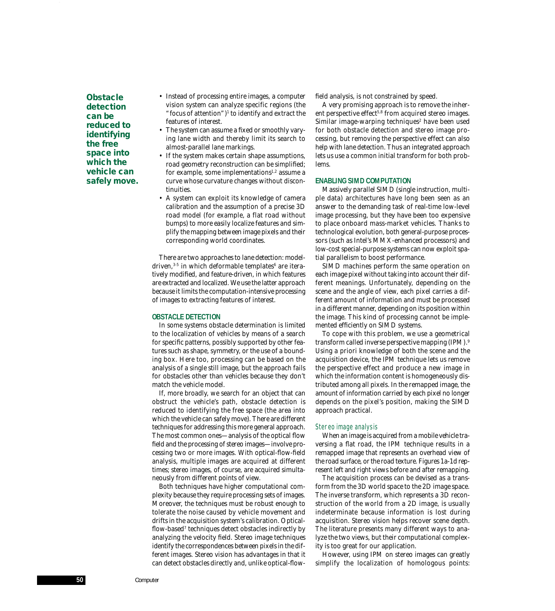**Obstacle detection can be reduced to identifying the free space into which the vehicle can safely move.**

- Instead of processing entire images, a computer vision system can analyze specific regions (the "focus of attention")<sup>1</sup> to identify and extract the features of interest.
- The system can assume a fixed or smoothly varying lane width and thereby limit its search to almost-parallel lane markings.
- If the system makes certain shape assumptions, road geometry reconstruction can be simplified; for example, some implementations<sup>1,2</sup> assume a curve whose curvature changes without discontinuities.
- A system can exploit its knowledge of camera calibration and the assumption of a precise 3D road model (for example, a flat road without bumps) to more easily localize features and simplify the mapping between image pixels and their corresponding world coordinates.

There are two approaches to lane detection: *model*driven,<sup>3-5</sup> in which deformable templates<sup>6</sup> are iteratively modified, and *feature-driven*, in which features are extracted and localized. We use the latter approach because it limits the computation-intensive processing of images to extracting features of interest.

# **OBSTACLE DETECTION**

In some systems obstacle determination is limited to the localization of vehicles by means of a search for specific patterns, possibly supported by other features such as shape, symmetry, or the use of a bounding box. Here too, processing can be based on the analysis of a single still image, but the approach fails for obstacles other than vehicles because they don't match the vehicle model.

If, more broadly, we search for an object that can obstruct the vehicle's path, obstacle detection is reduced to identifying the *free space* (the area into which the vehicle can safely move). There are different techniques for addressing this more general approach. The most common ones—analysis of the optical flow field and the processing of stereo images—involve processing two or more images. With optical-flow-field analysis, multiple images are acquired at different times; stereo images, of course, are acquired simultaneously from different points of view.

Both techniques have higher computational complexity because they require processing *sets* of images. Moreover, the techniques must be robust enough to tolerate the noise caused by vehicle movement and drifts in the acquisition system's calibration. Opticalflow-based<sup>7</sup> techniques detect obstacles indirectly by analyzing the velocity field. Stereo image techniques identify the correspondences between pixels in the different images. Stereo vision has advantages in that it can detect obstacles directly and, unlike optical-flowfield analysis, is not constrained by speed.

A very promising approach is to remove the inherent perspective effect<sup>5,8</sup> from acquired stereo images. Similar image-warping techniques<sup>2</sup> have been used for both obstacle detection and stereo image processing, but removing the perspective effect can also help with lane detection. Thus an integrated approach lets us use a common initial transform for both problems.

# **ENABLING SIMD COMPUTATION**

Massively parallel SIMD (single instruction, multiple data) architectures have long been seen as an answer to the demanding task of real-time low-level image processing, but they have been too expensive to place onboard mass-market vehicles. Thanks to technological evolution, both general-purpose processors (such as Intel's MMX-enhanced processors) and low-cost special-purpose systems can now exploit spatial parallelism to boost performance.

SIMD machines perform the same operation on each image pixel without taking into account their different meanings. Unfortunately, depending on the scene and the angle of view, each pixel carries a different amount of information and must be processed in a different manner, depending on its position within the image. This kind of processing cannot be implemented efficiently on SIMD systems.

To cope with this problem, we use a geometrical transform called *inverse perspective mapping* (IPM).9 Using a priori knowledge of both the scene and the acquisition device, the IPM technique lets us remove the perspective effect and produce a new image in which the information content is homogeneously distributed among all pixels. In the remapped image, the amount of information carried by each pixel no longer depends on the pixel's position, making the SIMD approach practical.

# Stereo image analysis

When an image is acquired from a mobile vehicle traversing a flat road, the IPM technique results in a remapped image that represents an overhead view of the road surface, or the *road texture*. Figures 1a-1d represent left and right views before and after remapping.

The acquisition process can be devised as a transform from the 3D world space to the 2D image space. The inverse transform, which represents a 3D reconstruction of the world from a 2D image, is usually indeterminate because information is lost during acquisition. Stereo vision helps recover scene depth. The literature presents many different ways to analyze the two views, but their computational complexity is too great for our application.

However, using IPM on stereo images can greatly simplify the localization of homologous points: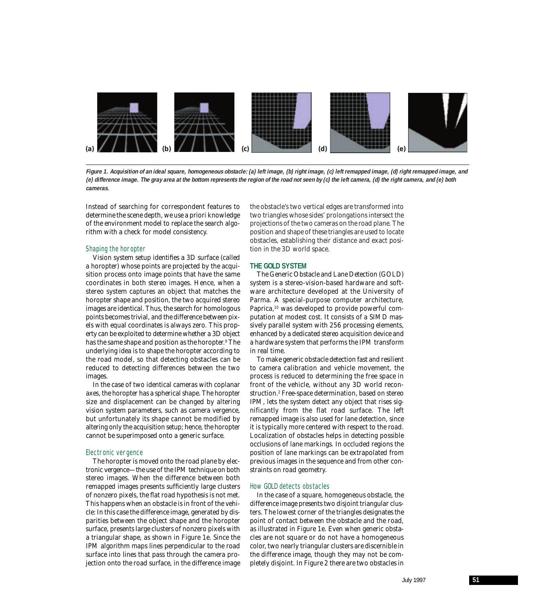

**Figure 1. Acquisition of an ideal square, homogeneous obstacle: (a) left image, (b) right image, (c) left remapped image, (d) right remapped image, and (e) difference image. The gray area at the bottom represents the region of the road not seen by (c) the left camera, (d) the right camera, and (e) both cameras.**

Instead of searching for correspondent features to determine the scene depth, we use a priori knowledge of the environment model to replace the search algorithm with a check for model consistency.

# Shaping the horopter

Vision system setup identifies a 3D surface (called a *horopter*) whose points are projected by the acquisition process onto image points that have the same coordinates in both stereo images. Hence, when a stereo system captures an object that matches the horopter shape and position, the two acquired stereo images are identical. Thus, the search for homologous points becomes trivial, and the difference between pixels with equal coordinates is always zero. This property can be exploited to determine whether a 3D object has the same shape and position as the horopter. <sup>9</sup> The underlying idea is to shape the horopter according to the road model, so that detecting obstacles can be reduced to detecting differences between the two images.

In the case of two identical cameras with coplanar axes, the horopter has a spherical shape. The horopter size and displacement can be changed by altering vision system parameters, such as camera vergence, but unfortunately its *shape* cannot be modified by altering only the acquisition setup; hence, the horopter cannot be superimposed onto a generic surface.

# Electronic vergence

The horopter is moved onto the road plane by *electronic vergence*—the use of the IPM technique on both stereo images. When the difference between both remapped images presents sufficiently large clusters of nonzero pixels, the flat road hypothesis is not met. This happens when an obstacle is in front of the vehicle: In this case the difference image, generated by disparities between the object shape and the horopter surface, presents large clusters of nonzero pixels with a triangular shape, as shown in Figure 1e. Since the IPM algorithm maps lines perpendicular to the road surface into lines that pass through the camera projection onto the road surface, in the difference image

the obstacle's two vertical edges are transformed into two triangles whose sides' prolongations intersect the projections of the two cameras on the road plane. The position and shape of these triangles are used to locate obstacles, establishing their distance and exact position in the 3D world space.

### **THE GOLD SYSTEM**

The Generic Obstacle and Lane Detection (GOLD) system is a stereo-vision-based hardware and software architecture developed at the University of Parma. A special-purpose computer architecture, Paprica,<sup>10</sup> was developed to provide powerful computation at modest cost. It consists of a SIMD massively parallel system with 256 processing elements, enhanced by a dedicated stereo acquisition device and a hardware system that performs the IPM transform in real time.

To make generic obstacle detection fast and resilient to camera calibration and vehicle movement, the process is reduced to determining the free space in front of the vehicle, without any 3D world reconstruction.2 Free-space determination, based on stereo IPM, lets the system detect any object that rises significantly from the flat road surface. The left remapped image is also used for lane detection, since it is typically more centered with respect to the road. Localization of obstacles helps in detecting possible occlusions of lane markings. In occluded regions the position of lane markings can be extrapolated from previous images in the sequence and from other constraints on road geometry.

### How GOLD detects obstacles

In the case of a square, homogeneous obstacle, the difference image presents two disjoint triangular clusters. The lowest corner of the triangles designates the point of contact between the obstacle and the road, as illustrated in Figure 1e. Even when generic obstacles are not square or do not have a homogeneous color, two nearly triangular clusters are discernible in the difference image, though they may not be completely disjoint. In Figure 2 there are two obstacles in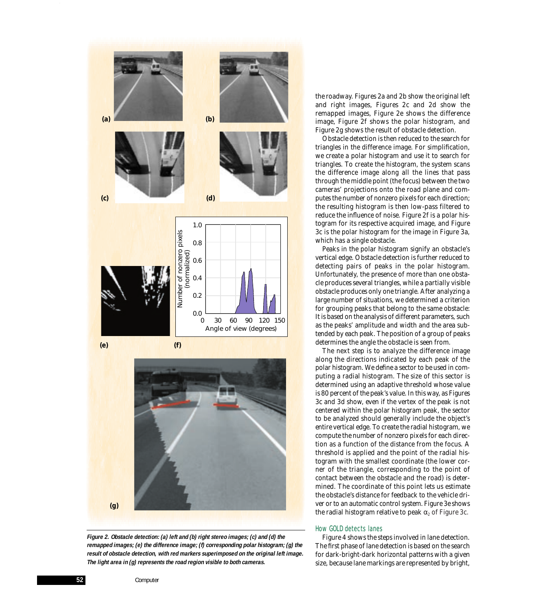

**Figure 2. Obstacle detection: (a) left and (b) right stereo images; (c) and (d) the remapped images; (e) the difference image; (f) corresponding polar histogram; (g) the result of obstacle detection, with red markers superimposed on the original left image. The light area in (g) represents the road region visible to both cameras.**

the roadway. Figures 2a and 2b show the original left and right images, Figures 2c and 2d show the remapped images, Figure 2e shows the difference image, Figure 2f shows the polar histogram, and Figure 2g shows the result of obstacle detection.

Obstacle detection is then reduced to the search for triangles in the difference image. For simplification, we create a *polar histogram* and use it to search for triangles. To create the histogram, the system scans the difference image along all the lines that pass through the middle point (the focus) between the two cameras' projections onto the road plane and computes the number of nonzero pixels for each direction; the resulting histogram is then low-pass filtered to reduce the influence of noise. Figure 2f is a polar histogram for its respective acquired image, and Figure 3c is the polar histogram for the image in Figure 3a, which has a single obstacle.

Peaks in the polar histogram signify an obstacle's vertical edge. Obstacle detection is further reduced to detecting *pairs* of peaks in the polar histogram. Unfortunately, the presence of more than one obstacle produces several triangles, while a partially visible obstacle produces only one triangle. After analyzing a large number of situations, we determined a criterion for grouping peaks that belong to the same obstacle: It is based on the analysis of different parameters, such as the peaks' amplitude and width and the area subtended by each peak. The position of a group of peaks determines the angle the obstacle is seen from.

The next step is to analyze the difference image along the directions indicated by each peak of the polar histogram. We define a sector to be used in computing a *radial histogram*. The size of this sector is determined using an adaptive threshold whose value is 80 percent of the peak's value. In this way, as Figures 3c and 3d show, even if the vertex of the peak is not centered within the polar histogram peak, the sector to be analyzed should generally include the object's entire vertical edge. To create the radial histogram, we compute the number of nonzero pixels for each direction as a function of the distance from the focus. A threshold is applied and the point of the radial histogram with the smallest coordinate (the lower corner of the triangle, corresponding to the point of contact between the obstacle and the road) is determined. The coordinate of this point lets us estimate the obstacle's distance for feedback to the vehicle driver or to an automatic control system. Figure 3e shows the radial histogram relative to peak  $\alpha_2$  of Figure 3c.

# How GOLD detects lanes

Figure 4 shows the steps involved in lane detection. The first phase of lane detection is based on the search for dark-bright-dark horizontal patterns with a given size, because lane markings are represented by bright,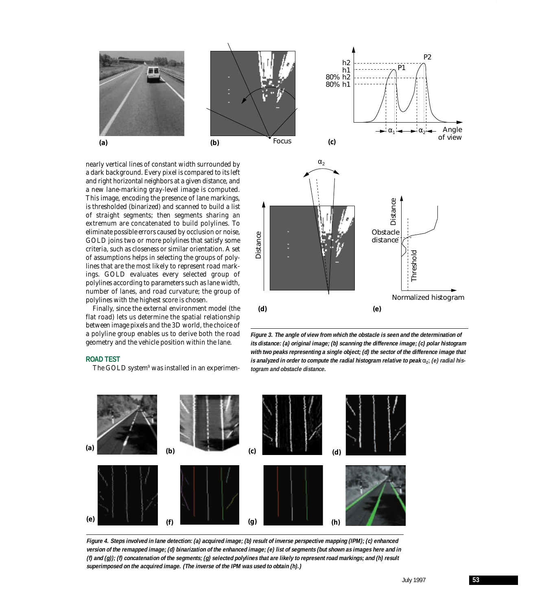

nearly vertical lines of constant width surrounded by a dark background. Every pixel is compared to its left and right horizontal neighbors at a given distance, and a new lane-marking gray-level image is computed. This image, encoding the presence of lane markings, is thresholded (binarized) and scanned to build a list of straight segments; then segments sharing an extremum are concatenated to build polylines. To eliminate possible errors caused by occlusion or noise, GOLD joins two or more polylines that satisfy some criteria, such as closeness or similar orientation. A set of assumptions helps in selecting the groups of polylines that are the most likely to represent road markings. GOLD evaluates every selected group of polylines according to parameters such as lane width, number of lanes, and road curvature; the group of polylines with the highest score is chosen.

Finally, since the external environment model (the flat road) lets us determine the spatial relationship between image pixels and the 3D world, the choice of a polyline group enables us to derive both the road geometry and the vehicle position within the lane.

# **ROAD TEST**

The GOLD system<sup>9</sup> was installed in an experimen-



**Figure 3. The angle of view from which the obstacle is seen and the determination of its distance: (a) original image; (b) scanning the difference image; (c) polar histogram with two peaks representing a single object; (d) the sector of the difference image that is analyzed in order to compute the radial histogram relative to peak**  $α<sub>2</sub>$ **; (e) radial his-**



**Figure 4. Steps involved in lane detection: (a) acquired image; (b) result of inverse perspective mapping (IPM); (c) enhanced version of the remapped image; (d) binarization of the enhanced image; (e) list of segments (but shown as images here and in (f) and (g)); (f) concatenation of the segments; (g) selected polylines that are likely to represent road markings; and (h) result superimposed on the acquired image. (The inverse of the IPM was used to obtain (h).)**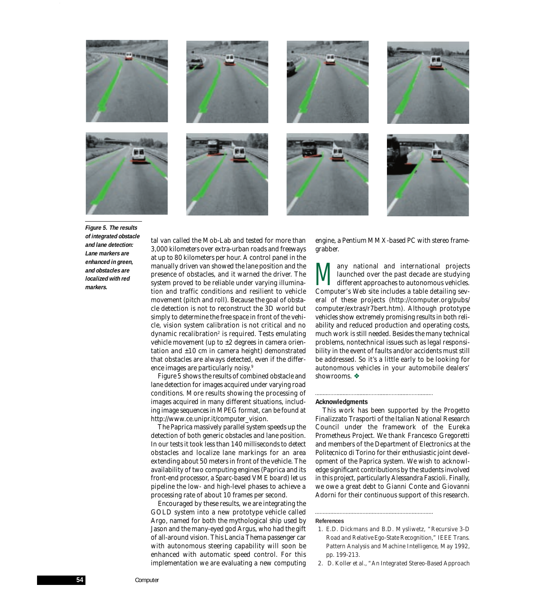

**Figure 5. The results of integrated obstacle and lane detection: Lane markers are enhanced in green, and obstacles are localized with red markers.**

tal van called the Mob-Lab and tested for more than 3,000 kilometers over extra-urban roads and freeways at up to 80 kilometers per hour. A control panel in the manually driven van showed the lane position and the presence of obstacles, and it warned the driver. The system proved to be reliable under varying illumination and traffic conditions and resilient to vehicle movement (pitch and roll). Because the goal of obstacle detection is not to reconstruct the 3D world but simply to determine the free space in front of the vehicle, vision system calibration is not critical and no dynamic recalibration<sup>2</sup> is required. Tests emulating vehicle movement (up to ±2 degrees in camera orientation and  $\pm 10$  cm in camera height) demonstrated that obstacles are always detected, even if the difference images are particularly noisy. 9

Figure 5 shows the results of combined obstacle and lane detection for images acquired under varying road conditions. More results showing the processing of images acquired in many different situations, including image sequences in MPEG format, can be found at http://www.ce.unipr.it/computer\_vision.

The Paprica massively parallel system speeds up the detection of both generic obstacles and lane position. In our tests it took less than 140 milliseconds to detect obstacles and localize lane markings for an area extending about 50 meters in front of the vehicle. The availability of two computing engines (Paprica and its front-end processor, a Sparc-based VME board) let us pipeline the low- and high-level phases to achieve a processing rate of about 10 frames per second.

Encouraged by these results, we are integrating the GOLD system into a new prototype vehicle called Argo, named for both the mythological ship used by Jason and the many-eyed god Argus, who had the gift of all-around vision. This Lancia Thema passenger car with autonomous steering capability will soon be enhanced with automatic speed control. For this implementation we are evaluating a new computing engine, a Pentium MMX-based PC with stereo framegrabber.

any national and international projects launched over the past decade are studying different approaches to autonomous vehicles. *Computer'*s Web site includes a table detailing several of these projects (http://computer.org/pubs/ computer/extras/r7bert.htm). Although prototype vehicles show extremely promising results in both reliability and reduced production and operating costs, much work is still needed. Besides the many technical problems, nontechnical issues such as legal responsibility in the event of faults and/or accidents must still be addressed. So it's a little early to be looking for autonomous vehicles in your automobile dealers' showrooms. ❖

## **Acknowledgments**

This work has been supported by the Progetto Finalizzato Trasporti of the Italian National Research Council under the framework of the Eureka Prometheus Project. We thank Francesco Gregoretti and members of the Department of Electronics at the Politecnico di Torino for their enthusiastic joint development of the Paprica system. We wish to acknowledge significant contributions by the students involved in this project, particularly Alessandra Fascioli. Finally, we owe a great debt to Gianni Conte and Giovanni Adorni for their continuous support of this research.

# **References**

- 1. E.D. Dickmans and B.D. Mysliwetz, "Recursive 3-D Road and Relative Ego-State Recognition," *IEEE Trans. Pattern Analysis and Machine Intelligence*, May 1992, pp. 199-213.
- 2. D. Koller et al., "An Integrated Stereo-Based Approach